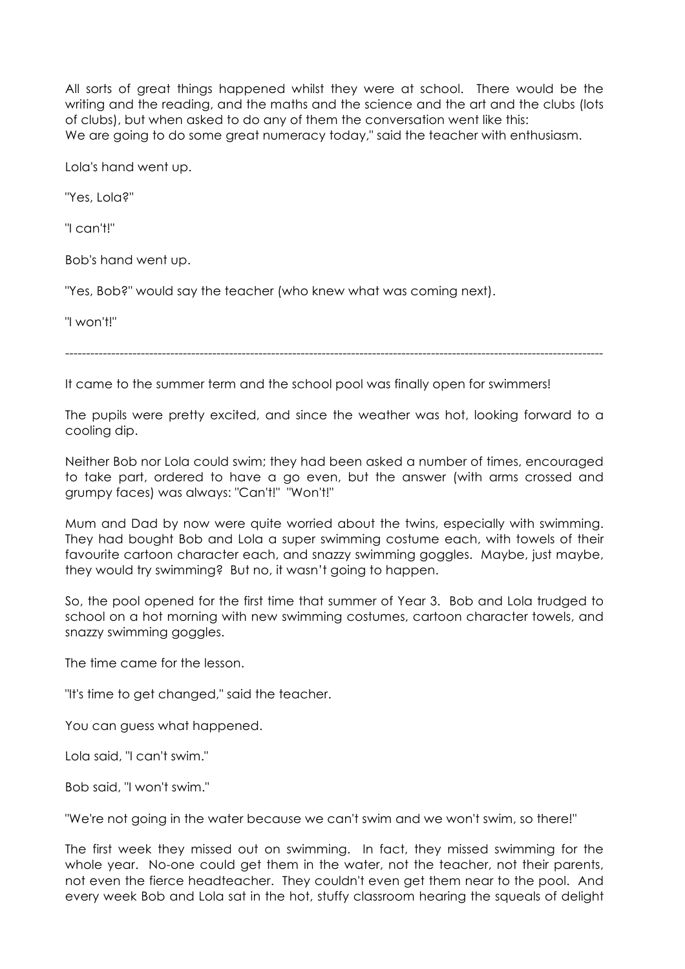All sorts of great things happened whilst they were at school. There would be the writing and the reading, and the maths and the science and the art and the clubs (lots of clubs), but when asked to do any of them the conversation went like this: We are going to do some great numeracy today," said the teacher with enthusiasm.

Lola's hand went up.

"Yes, Lola?"

"I can't!"

Bob's hand went up.

"Yes, Bob?" would say the teacher (who knew what was coming next).

"I won't!"

--------------------------------------------------------------------------------------------------------------------------------

It came to the summer term and the school pool was finally open for swimmers!

The pupils were pretty excited, and since the weather was hot, looking forward to a cooling dip.

Neither Bob nor Lola could swim; they had been asked a number of times, encouraged to take part, ordered to have a go even, but the answer (with arms crossed and grumpy faces) was always: "Can't!" "Won't!"

Mum and Dad by now were quite worried about the twins, especially with swimming. They had bought Bob and Lola a super swimming costume each, with towels of their favourite cartoon character each, and snazzy swimming goggles. Maybe, just maybe, they would try swimming? But no, it wasn't going to happen.

So, the pool opened for the first time that summer of Year 3. Bob and Lola trudged to school on a hot morning with new swimming costumes, cartoon character towels, and snazzy swimming goggles.

The time came for the lesson.

"It's time to get changed," said the teacher.

You can guess what happened.

Lola said, "I can't swim."

Bob said, "I won't swim."

"We're not going in the water because we can't swim and we won't swim, so there!"

The first week they missed out on swimming. In fact, they missed swimming for the whole year. No-one could get them in the water, not the teacher, not their parents, not even the fierce headteacher. They couldn't even get them near to the pool. And every week Bob and Lola sat in the hot, stuffy classroom hearing the squeals of delight